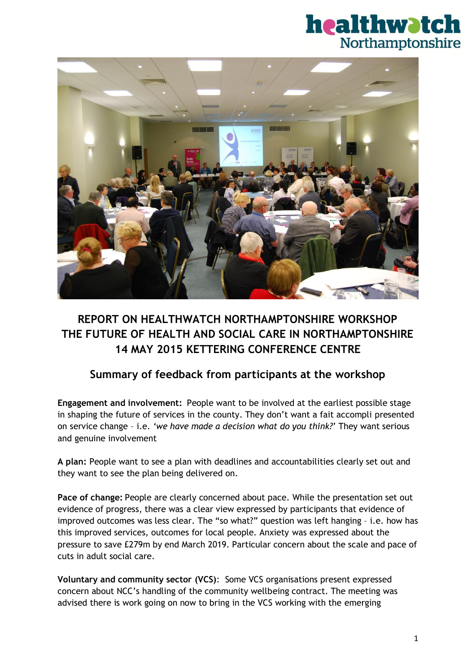



# **REPORT ON HEALTHWATCH NORTHAMPTONSHIRE WORKSHOP THE FUTURE OF HEALTH AND SOCIAL CARE IN NORTHAMPTONSHIRE 14 MAY 2015 KETTERING CONFERENCE CENTRE**

# **Summary of feedback from participants at the workshop**

**Engagement and involvement:** People want to be involved at the earliest possible stage in shaping the future of services in the county. They don't want a fait accompli presented on service change – i.e. *'we have made a decision what do you think?*' They want serious and genuine involvement

**A plan:** People want to see a plan with deadlines and accountabilities clearly set out and they want to see the plan being delivered on.

**Pace of change:** People are clearly concerned about pace. While the presentation set out evidence of progress, there was a clear view expressed by participants that evidence of improved outcomes was less clear. The "so what?" question was left hanging – i.e. how has this improved services, outcomes for local people. Anxiety was expressed about the pressure to save £279m by end March 2019. Particular concern about the scale and pace of cuts in adult social care.

**Voluntary and community sector (VCS)**: Some VCS organisations present expressed concern about NCC's handling of the community wellbeing contract. The meeting was advised there is work going on now to bring in the VCS working with the emerging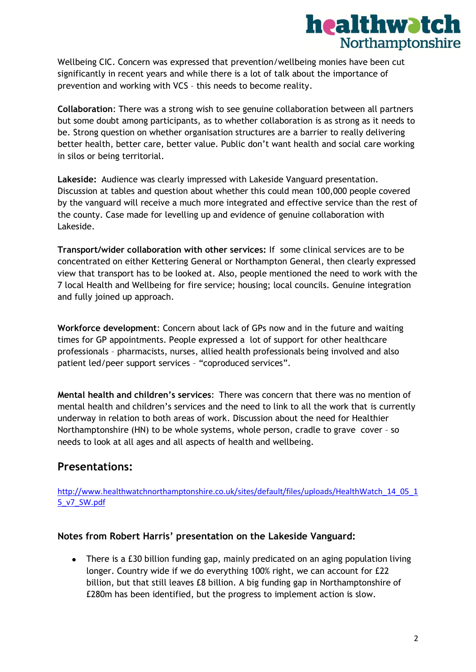

Wellbeing CIC. Concern was expressed that prevention/wellbeing monies have been cut significantly in recent years and while there is a lot of talk about the importance of prevention and working with VCS – this needs to become reality.

**Collaboration**: There was a strong wish to see genuine collaboration between all partners but some doubt among participants, as to whether collaboration is as strong as it needs to be. Strong question on whether organisation structures are a barrier to really delivering better health, better care, better value. Public don't want health and social care working in silos or being territorial.

**Lakeside:** Audience was clearly impressed with Lakeside Vanguard presentation. Discussion at tables and question about whether this could mean 100,000 people covered by the vanguard will receive a much more integrated and effective service than the rest of the county. Case made for levelling up and evidence of genuine collaboration with Lakeside.

**Transport/wider collaboration with other services:** If some clinical services are to be concentrated on either Kettering General or Northampton General, then clearly expressed view that transport has to be looked at. Also, people mentioned the need to work with the 7 local Health and Wellbeing for fire service; housing; local councils. Genuine integration and fully joined up approach.

**Workforce development**: Concern about lack of GPs now and in the future and waiting times for GP appointments. People expressed a lot of support for other healthcare professionals – pharmacists, nurses, allied health professionals being involved and also patient led/peer support services – "coproduced services".

**Mental health and children's services**: There was concern that there was no mention of mental health and children's services and the need to link to all the work that is currently underway in relation to both areas of work. Discussion about the need for Healthier Northamptonshire (HN) to be whole systems, whole person, cradle to grave cover – so needs to look at all ages and all aspects of health and wellbeing.

# **Presentations:**

[http://www.healthwatchnorthamptonshire.co.uk/sites/default/files/uploads/HealthWatch\\_14\\_05\\_1](http://www.healthwatchnorthamptonshire.co.uk/sites/default/files/uploads/HealthWatch_14_05_15_v7_SW.pdf) [5\\_v7\\_SW.pdf](http://www.healthwatchnorthamptonshire.co.uk/sites/default/files/uploads/HealthWatch_14_05_15_v7_SW.pdf)

# **Notes from Robert Harris' presentation on the Lakeside Vanguard:**

 There is a £30 billion funding gap, mainly predicated on an aging population living longer. Country wide if we do everything 100% right, we can account for £22 billion, but that still leaves £8 billion. A big funding gap in Northamptonshire of £280m has been identified, but the progress to implement action is slow.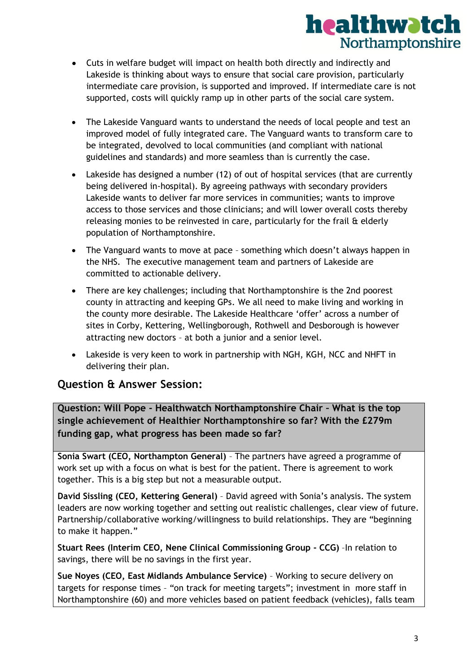

- Cuts in welfare budget will impact on health both directly and indirectly and Lakeside is thinking about ways to ensure that social care provision, particularly intermediate care provision, is supported and improved. If intermediate care is not supported, costs will quickly ramp up in other parts of the social care system.
- The Lakeside Vanguard wants to understand the needs of local people and test an improved model of fully integrated care. The Vanguard wants to transform care to be integrated, devolved to local communities (and compliant with national guidelines and standards) and more seamless than is currently the case.
- Lakeside has designed a number (12) of out of hospital services (that are currently being delivered in-hospital). By agreeing pathways with secondary providers Lakeside wants to deliver far more services in communities; wants to improve access to those services and those clinicians; and will lower overall costs thereby releasing monies to be reinvested in care, particularly for the frail & elderly population of Northamptonshire.
- The Vanguard wants to move at pace something which doesn't always happen in the NHS. The executive management team and partners of Lakeside are committed to actionable delivery.
- There are key challenges; including that Northamptonshire is the 2nd poorest county in attracting and keeping GPs. We all need to make living and working in the county more desirable. The Lakeside Healthcare 'offer' across a number of sites in Corby, Kettering, Wellingborough, Rothwell and Desborough is however attracting new doctors – at both a junior and a senior level.
- Lakeside is very keen to work in partnership with NGH, KGH, NCC and NHFT in delivering their plan.

# **Question & Answer Session:**

**Question: Will Pope - Healthwatch Northamptonshire Chair – What is the top single achievement of Healthier Northamptonshire so far? With the £279m funding gap, what progress has been made so far?**

**Sonia Swart (CEO, Northampton General)** – The partners have agreed a programme of work set up with a focus on what is best for the patient. There is agreement to work together. This is a big step but not a measurable output.

**David Sissling (CEO, Kettering General)** – David agreed with Sonia's analysis. The system leaders are now working together and setting out realistic challenges, clear view of future. Partnership/collaborative working/willingness to build relationships. They are "beginning to make it happen."

**Stuart Rees (Interim CEO, Nene Clinical Commissioning Group - CCG)** –In relation to savings, there will be no savings in the first year.

**Sue Noyes (CEO, East Midlands Ambulance Service)** – Working to secure delivery on targets for response times – "on track for meeting targets"; investment in more staff in Northamptonshire (60) and more vehicles based on patient feedback (vehicles), falls team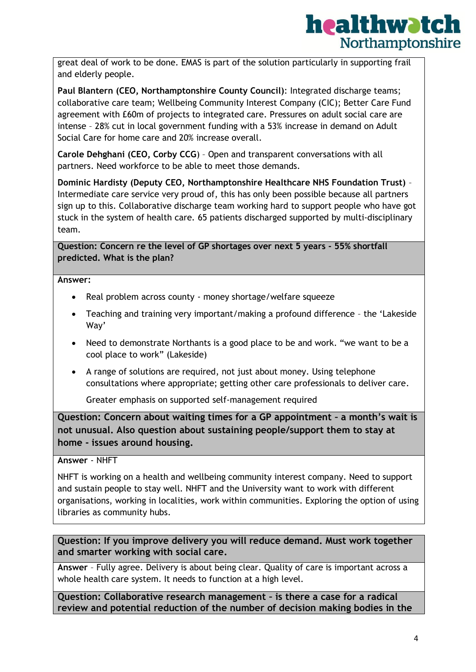

great deal of work to be done. EMAS is part of the solution particularly in supporting frail and elderly people.

**Paul Blantern (CEO, Northamptonshire County Council)**: Integrated discharge teams; collaborative care team; Wellbeing Community Interest Company (CIC); Better Care Fund agreement with £60m of projects to integrated care. Pressures on adult social care are intense – 28% cut in local government funding with a 53% increase in demand on Adult Social Care for home care and 20% increase overall.

**Carole Dehghani (CEO, Corby CCG**) – Open and transparent conversations with all partners. Need workforce to be able to meet those demands.

**Dominic Hardisty (Deputy CEO, Northamptonshire Healthcare NHS Foundation Trust)** – Intermediate care service very proud of, this has only been possible because all partners sign up to this. Collaborative discharge team working hard to support people who have got stuck in the system of health care. 65 patients discharged supported by multi-disciplinary team.

**Question: Concern re the level of GP shortages over next 5 years - 55% shortfall predicted. What is the plan?**

**Answer:**

- Real problem across county money shortage/welfare squeeze
- Teaching and training very important/making a profound difference the 'Lakeside Way'
- Need to demonstrate Northants is a good place to be and work. "we want to be a cool place to work" (Lakeside)
- A range of solutions are required, not just about money. Using telephone consultations where appropriate; getting other care professionals to deliver care.

Greater emphasis on supported self-management required

**Question: Concern about waiting times for a GP appointment – a month's wait is not unusual. Also question about sustaining people/support them to stay at home - issues around housing.** 

**Answer** - NHFT

NHFT is working on a health and wellbeing community interest company. Need to support and sustain people to stay well. NHFT and the University want to work with different organisations, working in localities, work within communities. Exploring the option of using libraries as community hubs.

**Question: If you improve delivery you will reduce demand. Must work together and smarter working with social care.**

**Answer** – Fully agree. Delivery is about being clear. Quality of care is important across a whole health care system. It needs to function at a high level.

**Question: Collaborative research management – is there a case for a radical review and potential reduction of the number of decision making bodies in the**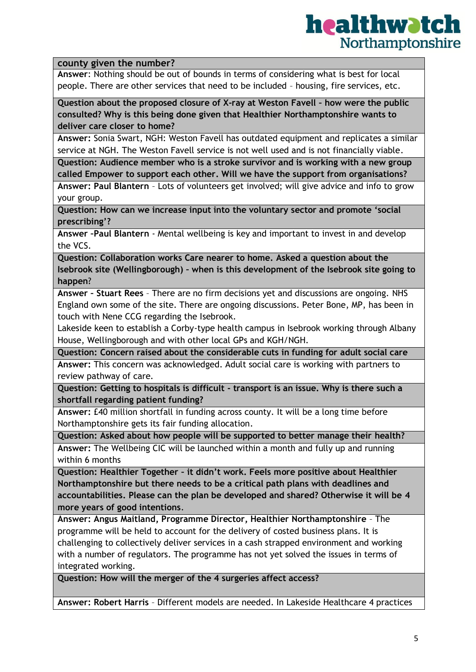#### **county given the number?**

**Answer**: Nothing should be out of bounds in terms of considering what is best for local people. There are other services that need to be included – housing, fire services, etc.

**Question about the proposed closure of X-ray at Weston Favell – how were the public consulted? Why is this being done given that Healthier Northamptonshire wants to deliver care closer to home?**

**Answer:** Sonia Swart, NGH: Weston Favell has outdated equipment and replicates a similar service at NGH. The Weston Favell service is not well used and is not financially viable.

**Question: Audience member who is a stroke survivor and is working with a new group called Empower to support each other. Will we have the support from organisations?**

**Answer: Paul Blantern** – Lots of volunteers get involved; will give advice and info to grow your group.

**Question: How can we increase input into the voluntary sector and promote 'social prescribing'?**

**Answer –Paul Blantern** - Mental wellbeing is key and important to invest in and develop the VCS.

**Question: Collaboration works Care nearer to home. Asked a question about the Isebrook site (Wellingborough) – when is this development of the Isebrook site going to happen**?

**Answer – Stuart Rees** – There are no firm decisions yet and discussions are ongoing. NHS England own some of the site. There are ongoing discussions. Peter Bone, MP, has been in touch with Nene CCG regarding the Isebrook.

Lakeside keen to establish a Corby-type health campus in Isebrook working through Albany House, Wellingborough and with other local GPs and KGH/NGH.

**Question: Concern raised about the considerable cuts in funding for adult social care**

**Answer:** This concern was acknowledged. Adult social care is working with partners to review pathway of care.

**Question: Getting to hospitals is difficult - transport is an issue. Why is there such a shortfall regarding patient funding?**

**Answer:** £40 million shortfall in funding across county. It will be a long time before Northamptonshire gets its fair funding allocation.

**Question: Asked about how people will be supported to better manage their health?**

**Answer:** The Wellbeing CIC will be launched within a month and fully up and running within 6 months

**Question: Healthier Together – it didn't work. Feels more positive about Healthier Northamptonshire but there needs to be a critical path plans with deadlines and accountabilities. Please can the plan be developed and shared? Otherwise it will be 4 more years of good intentions**.

**Answer: Angus Maitland, Programme Director, Healthier Northamptonshire** – The programme will be held to account for the delivery of costed business plans. It is challenging to collectively deliver services in a cash strapped environment and working with a number of regulators. The programme has not yet solved the issues in terms of integrated working.

**Question: How will the merger of the 4 surgeries affect access?**

**Answer: Robert Harris** – Different models are needed. In Lakeside Healthcare 4 practices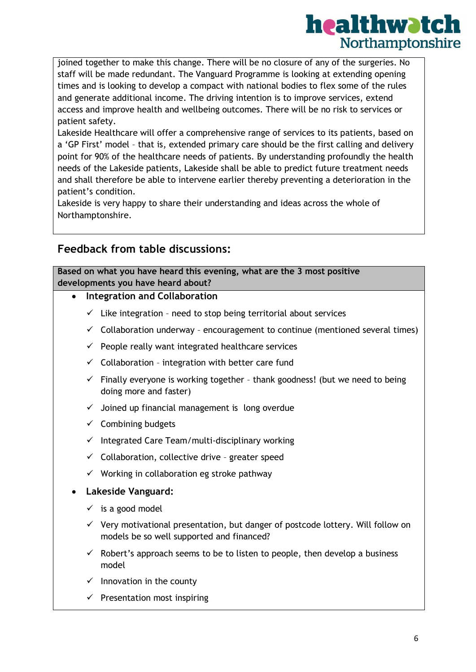joined together to make this change. There will be no closure of any of the surgeries. No staff will be made redundant. The Vanguard Programme is looking at extending opening times and is looking to develop a compact with national bodies to flex some of the rules and generate additional income. The driving intention is to improve services, extend access and improve health and wellbeing outcomes. There will be no risk to services or patient safety.

Lakeside Healthcare will offer a comprehensive range of services to its patients, based on a 'GP First' model – that is, extended primary care should be the first calling and delivery point for 90% of the healthcare needs of patients. By understanding profoundly the health needs of the Lakeside patients, Lakeside shall be able to predict future treatment needs and shall therefore be able to intervene earlier thereby preventing a deterioration in the patient's condition.

Lakeside is very happy to share their understanding and ideas across the whole of Northamptonshire.

# **Feedback from table discussions:**

**Based on what you have heard this evening, what are the 3 most positive developments you have heard about?**

- **Integration and Collaboration**
	- $\checkmark$  Like integration need to stop being territorial about services
	- $\checkmark$  Collaboration underway encouragement to continue (mentioned several times)
	- $\checkmark$  People really want integrated healthcare services
	- $\checkmark$  Collaboration integration with better care fund
	- $\checkmark$  Finally everyone is working together thank goodness! (but we need to being doing more and faster)
	- $\checkmark$  Joined up financial management is long overdue
	- $\checkmark$  Combining budgets
	- $\checkmark$  Integrated Care Team/multi-disciplinary working
	- $\checkmark$  Collaboration, collective drive greater speed
	- $\checkmark$  Working in collaboration eg stroke pathway
- **Lakeside Vanguard:**
	- $\checkmark$  is a good model
	- $\checkmark$  Very motivational presentation, but danger of postcode lottery. Will follow on models be so well supported and financed?
	- $\checkmark$  Robert's approach seems to be to listen to people, then develop a business model
	- $\checkmark$  Innovation in the county
	- $\checkmark$  Presentation most inspiring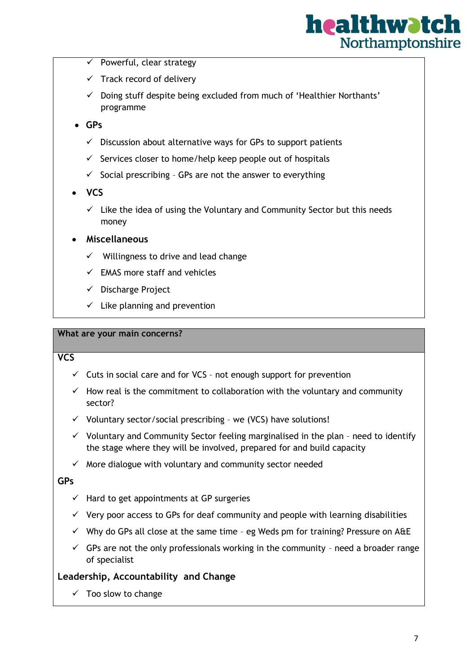- $\checkmark$  Powerful, clear strategy
- $\checkmark$  Track record of delivery
- Doing stuff despite being excluded from much of 'Healthier Northants' programme
- **GPs**
	- $\checkmark$  Discussion about alternative ways for GPs to support patients
	- $\checkmark$  Services closer to home/help keep people out of hospitals
	- $\checkmark$  Social prescribing GPs are not the answer to everything
- **VCS**
	- $\checkmark$  Like the idea of using the Voluntary and Community Sector but this needs money
- **Miscellaneous**
	- $\checkmark$  Willingness to drive and lead change
	- $\checkmark$  EMAS more staff and vehicles
	- $\checkmark$  Discharge Project
	- $\checkmark$  Like planning and prevention

### **What are your main concerns?**

# **VCS**

- $\checkmark$  Cuts in social care and for VCS not enough support for prevention
- $\checkmark$  How real is the commitment to collaboration with the voluntary and community sector?
- $\checkmark$  Voluntary sector/social prescribing we (VCS) have solutions!
- $\checkmark$  Voluntary and Community Sector feeling marginalised in the plan need to identify the stage where they will be involved, prepared for and build capacity
- $\checkmark$  More dialogue with voluntary and community sector needed

#### **GPs**

- $\checkmark$  Hard to get appointments at GP surgeries
- $\checkmark$  Very poor access to GPs for deaf community and people with learning disabilities
- $\checkmark$  Why do GPs all close at the same time eg Weds pm for training? Pressure on A&E
- $\checkmark$  GPs are not the only professionals working in the community need a broader range of specialist

# **Leadership, Accountability and Change**

 $\checkmark$  Too slow to change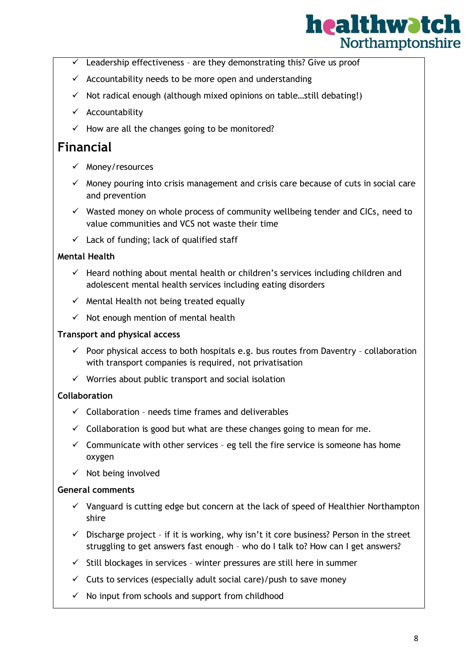- $\checkmark$  Leadership effectiveness are they demonstrating this? Give us proof
- $\checkmark$  Accountability needs to be more open and understanding
- $\checkmark$  Not radical enough (although mixed opinions on table...still debating!)
- $\checkmark$  Accountability
- $\checkmark$  How are all the changes going to be monitored?

# **Financial**

- $\checkmark$  Money/resources
- $\checkmark$  Money pouring into crisis management and crisis care because of cuts in social care and prevention
- $\checkmark$  Wasted money on whole process of community wellbeing tender and CICs, need to value communities and VCS not waste their time
- $\checkmark$  Lack of funding; lack of qualified staff

### **Mental Health**

- $\checkmark$  Heard nothing about mental health or children's services including children and adolescent mental health services including eating disorders
- $\checkmark$  Mental Health not being treated equally
- $\checkmark$  Not enough mention of mental health

### **Transport and physical access**

- $\checkmark$  Poor physical access to both hospitals e.g. bus routes from Daventry collaboration with transport companies is required, not privatisation
- $\checkmark$  Worries about public transport and social isolation

# **Collaboration**

- $\checkmark$  Collaboration needs time frames and deliverables
- $\checkmark$  Collaboration is good but what are these changes going to mean for me.
- $\checkmark$  Communicate with other services eg tell the fire service is someone has home oxygen
- $\checkmark$  Not being involved

#### **General comments**

- $\checkmark$  Vanguard is cutting edge but concern at the lack of speed of Healthier Northampton shire
- $\checkmark$  Discharge project if it is working, why isn't it core business? Person in the street struggling to get answers fast enough – who do I talk to? How can I get answers?
- $\checkmark$  Still blockages in services winter pressures are still here in summer
- $\checkmark$  Cuts to services (especially adult social care)/push to save money
- $\checkmark$  No input from schools and support from childhood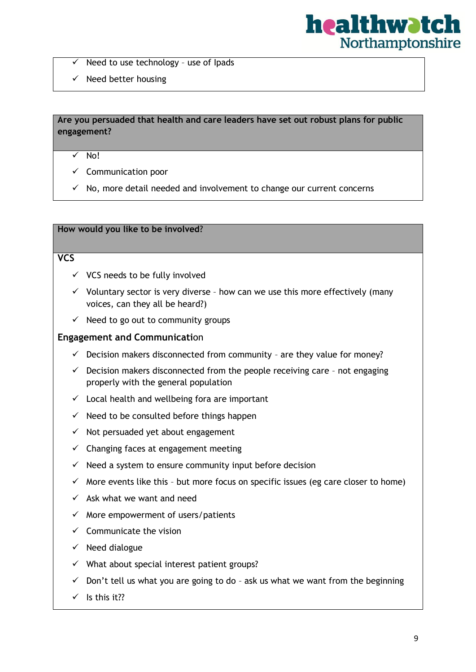

- $\checkmark$  Need to use technology use of Ipads
- $\checkmark$  Need better housing

### **Are you persuaded that health and care leaders have set out robust plans for public engagement?**

 $\sqrt{Nol}$ 

- $\checkmark$  Communication poor
- $\checkmark$  No, more detail needed and involvement to change our current concerns

**How would you like to be involved**?

# **VCS**

- $\checkmark$  VCS needs to be fully involved
- $\checkmark$  Voluntary sector is very diverse how can we use this more effectively (many voices, can they all be heard?)
- $\checkmark$  Need to go out to community groups

#### **Engagement and Communicati**on

- $\checkmark$  Decision makers disconnected from community are they value for money?
- $\checkmark$  Decision makers disconnected from the people receiving care not engaging properly with the general population
- $\checkmark$  Local health and wellbeing fora are important
- $\checkmark$  Need to be consulted before things happen
- $\checkmark$  Not persuaded yet about engagement
- $\checkmark$  Changing faces at engagement meeting
- $\checkmark$  Need a system to ensure community input before decision
- $\checkmark$  More events like this but more focus on specific issues (eg care closer to home)
- $\checkmark$  Ask what we want and need
- $\checkmark$  More empowerment of users/patients
- $\checkmark$  Communicate the vision
- $\checkmark$  Need dialogue
- $\checkmark$  What about special interest patient groups?
- $\checkmark$  Don't tell us what you are going to do ask us what we want from the beginning
- $\checkmark$  Is this it??